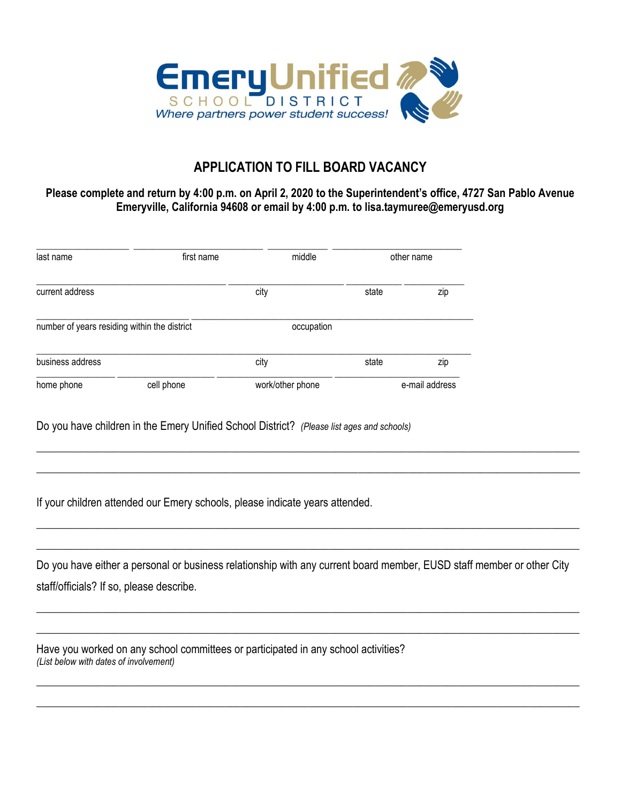

## **APPLICATION TO FILL BOARD VACANCY**

## **Please complete and return by 4:00 p.m. on April 2, 2020 to the Superintendent's office, 4727 San Pablo Avenue Emeryville, California 94608 or email by 4:00 p.m. to lisa.taymuree@emeryusd.org**

| last name                                    | first name | middle           | other name     |     |
|----------------------------------------------|------------|------------------|----------------|-----|
| current address                              |            | city             | state          | zip |
| number of years residing within the district |            | occupation       |                |     |
| business address                             |            | city             | state          | zip |
| home phone                                   | cell phone | work/other phone | e-mail address |     |

Do you have children in the Emery Unified School District? *(Please list ages and schools)*

If your children attended our Emery schools, please indicate years attended.

Do you have either a personal or business relationship with any current board member, EUSD staff member or other City staff/officials? If so, please describe.

 $\overline{\phantom{a}}$  , and the contribution of the contribution of the contribution of the contribution of the contribution of the contribution of the contribution of the contribution of the contribution of the contribution of the

 $\overline{\phantom{a}}$  , and the contribution of the contribution of the contribution of the contribution of the contribution of the contribution of the contribution of the contribution of the contribution of the contribution of the

 $\overline{\phantom{a}}$  , and the contribution of the contribution of the contribution of the contribution of the contribution of the contribution of the contribution of the contribution of the contribution of the contribution of the

 $\overline{\phantom{a}}$  , and the set of the set of the set of the set of the set of the set of the set of the set of the set of the set of the set of the set of the set of the set of the set of the set of the set of the set of the s

 $\_$  , and the set of the set of the set of the set of the set of the set of the set of the set of the set of the set of the set of the set of the set of the set of the set of the set of the set of the set of the set of th

 $\_$  , and the contribution of the contribution of the contribution of the contribution of  $\mathcal{L}_\mathbf{X}$ 

 $\_$  , and the set of the set of the set of the set of the set of the set of the set of the set of the set of the set of the set of the set of the set of the set of the set of the set of the set of the set of the set of th

 $\_$  , and the set of the set of the set of the set of the set of the set of the set of the set of the set of the set of the set of the set of the set of the set of the set of the set of the set of the set of the set of th

Have you worked on any school committees or participated in any school activities? *(List below with dates of involvement)*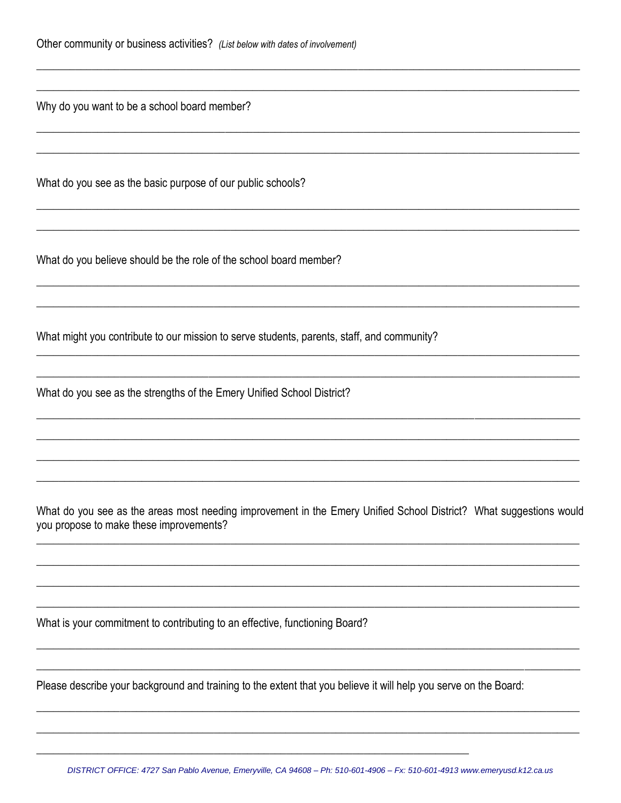Why do you want to be a school board member?

What do you see as the basic purpose of our public schools?

What do you believe should be the role of the school board member?

What might you contribute to our mission to serve students, parents, staff, and community?

What do you see as the strengths of the Emery Unified School District?

What do you see as the areas most needing improvement in the Emery Unified School District? What suggestions would you propose to make these improvements?

What is your commitment to contributing to an effective, functioning Board?

Please describe your background and training to the extent that you believe it will help you serve on the Board: